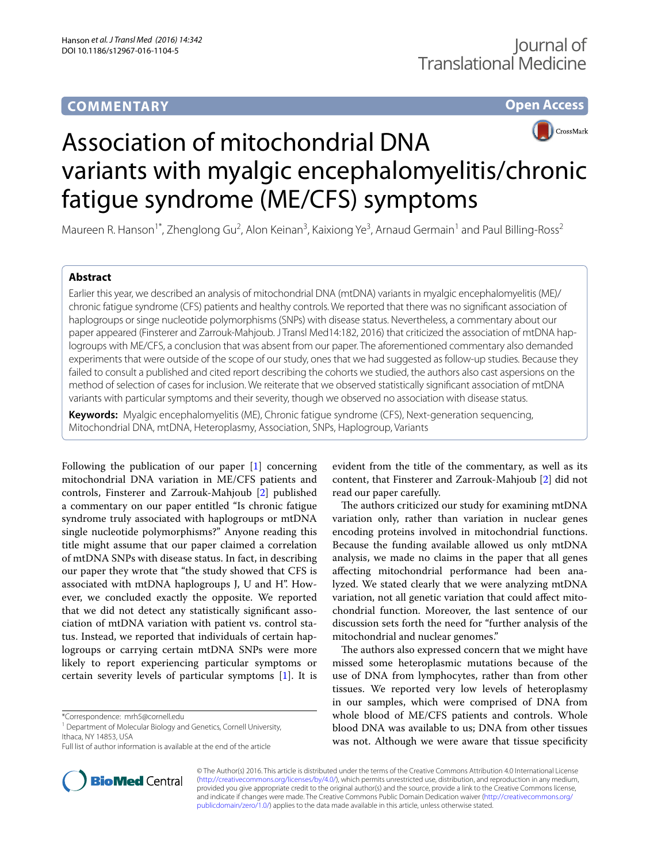# **COMMENTARY**

## **Open Access**



# Association of mitochondrial DNA variants with myalgic encephalomyelitis/chronic fatigue syndrome (ME/CFS) symptoms

Maureen R. Hanson<sup>1\*</sup>, Zhenglong Gu<sup>2</sup>, Alon Keinan<sup>3</sup>, Kaixiong Ye<sup>3</sup>, Arnaud Germain<sup>1</sup> and Paul Billing-Ross<sup>2</sup>

## **Abstract**

Earlier this year, we described an analysis of mitochondrial DNA (mtDNA) variants in myalgic encephalomyelitis (ME)/ chronic fatigue syndrome (CFS) patients and healthy controls. We reported that there was no significant association of haplogroups or singe nucleotide polymorphisms (SNPs) with disease status. Nevertheless, a commentary about our paper appeared (Finsterer and Zarrouk-Mahjoub. J Transl Med14:182, 2016) that criticized the association of mtDNA haplogroups with ME/CFS, a conclusion that was absent from our paper. The aforementioned commentary also demanded experiments that were outside of the scope of our study, ones that we had suggested as follow-up studies. Because they failed to consult a published and cited report describing the cohorts we studied, the authors also cast aspersions on the method of selection of cases for inclusion. We reiterate that we observed statistically significant association of mtDNA variants with particular symptoms and their severity, though we observed no association with disease status.

**Keywords:** Myalgic encephalomyelitis (ME), Chronic fatigue syndrome (CFS), Next-generation sequencing, Mitochondrial DNA, mtDNA, Heteroplasmy, Association, SNPs, Haplogroup, Variants

Following the publication of our paper [\[1\]](#page-1-0) concerning mitochondrial DNA variation in ME/CFS patients and controls, Finsterer and Zarrouk-Mahjoub [\[2](#page-1-1)] published a commentary on our paper entitled "Is chronic fatigue syndrome truly associated with haplogroups or mtDNA single nucleotide polymorphisms?" Anyone reading this title might assume that our paper claimed a correlation of mtDNA SNPs with disease status. In fact, in describing our paper they wrote that "the study showed that CFS is associated with mtDNA haplogroups J, U and H". However, we concluded exactly the opposite. We reported that we did not detect any statistically significant association of mtDNA variation with patient vs. control status. Instead, we reported that individuals of certain haplogroups or carrying certain mtDNA SNPs were more likely to report experiencing particular symptoms or certain severity levels of particular symptoms [[1\]](#page-1-0). It is

\*Correspondence: mrh5@cornell.edu



The authors criticized our study for examining mtDNA variation only, rather than variation in nuclear genes encoding proteins involved in mitochondrial functions. Because the funding available allowed us only mtDNA analysis, we made no claims in the paper that all genes affecting mitochondrial performance had been analyzed. We stated clearly that we were analyzing mtDNA variation, not all genetic variation that could affect mitochondrial function. Moreover, the last sentence of our discussion sets forth the need for "further analysis of the mitochondrial and nuclear genomes."

The authors also expressed concern that we might have missed some heteroplasmic mutations because of the use of DNA from lymphocytes, rather than from other tissues. We reported very low levels of heteroplasmy in our samples, which were comprised of DNA from whole blood of ME/CFS patients and controls. Whole blood DNA was available to us; DNA from other tissues was not. Although we were aware that tissue specificity



© The Author(s) 2016. This article is distributed under the terms of the Creative Commons Attribution 4.0 International License [\(http://creativecommons.org/licenses/by/4.0/\)](http://creativecommons.org/licenses/by/4.0/), which permits unrestricted use, distribution, and reproduction in any medium, provided you give appropriate credit to the original author(s) and the source, provide a link to the Creative Commons license, and indicate if changes were made. The Creative Commons Public Domain Dedication waiver ([http://creativecommons.org/](http://creativecommons.org/publicdomain/zero/1.0/) [publicdomain/zero/1.0/](http://creativecommons.org/publicdomain/zero/1.0/)) applies to the data made available in this article, unless otherwise stated.

<sup>&</sup>lt;sup>1</sup> Department of Molecular Biology and Genetics, Cornell University, Ithaca, NY 14853, USA

Full list of author information is available at the end of the article